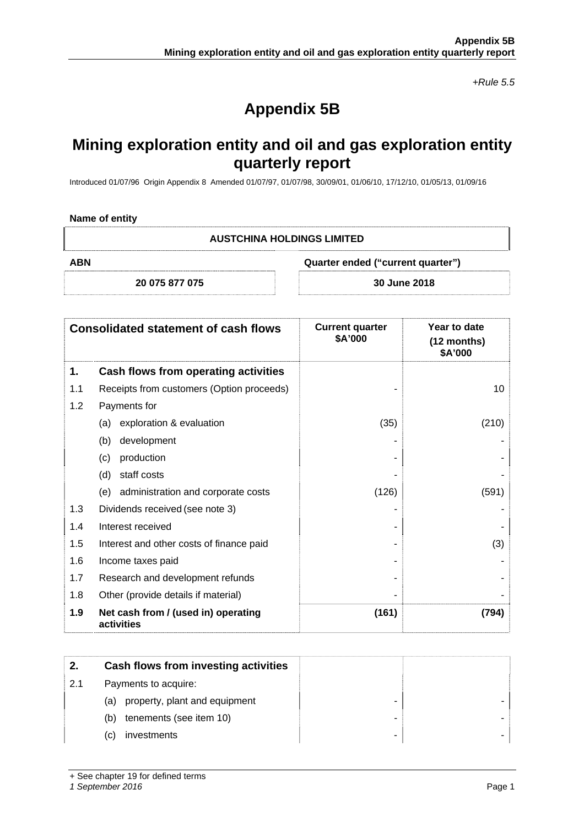*+Rule 5.5* 

# **Appendix 5B**

# **Mining exploration entity and oil and gas exploration entity quarterly report**

Introduced 01/07/96 Origin Appendix 8 Amended 01/07/97, 01/07/98, 30/09/01, 01/06/10, 17/12/10, 01/05/13, 01/09/16

#### **Name of entity**

| <b>AUSTCHINA HOLDINGS LIMITED</b> |
|-----------------------------------|
|-----------------------------------|

**ABN Quarter ended ("current quarter")** 

**20 075 877 075 30 June 2018** 

| <b>Consolidated statement of cash flows</b> |                                                   | <b>Current quarter</b><br>\$A'000 | Year to date<br>$(12$ months)<br>\$A'000 |
|---------------------------------------------|---------------------------------------------------|-----------------------------------|------------------------------------------|
| 1.                                          | Cash flows from operating activities              |                                   |                                          |
| 1.1                                         | Receipts from customers (Option proceeds)         |                                   | 10                                       |
| 1.2                                         | Payments for                                      |                                   |                                          |
|                                             | exploration & evaluation<br>(a)                   | (35)                              | (210)                                    |
|                                             | development<br>(b)                                |                                   |                                          |
|                                             | production<br>(c)                                 |                                   |                                          |
|                                             | staff costs<br>(d)                                |                                   |                                          |
|                                             | administration and corporate costs<br>(e)         | (126)                             | (591)                                    |
| 1.3                                         | Dividends received (see note 3)                   |                                   |                                          |
| 1.4                                         | Interest received                                 |                                   |                                          |
| 1.5                                         | Interest and other costs of finance paid          |                                   | (3)                                      |
| 1.6                                         | Income taxes paid                                 |                                   |                                          |
| 1.7                                         | Research and development refunds                  |                                   |                                          |
| 1.8                                         | Other (provide details if material)               |                                   |                                          |
| 1.9                                         | Net cash from / (used in) operating<br>activities | (161)                             | (794)                                    |

| 2.  | Cash flows from investing activities |  |
|-----|--------------------------------------|--|
| 2.1 | Payments to acquire:                 |  |
|     | property, plant and equipment<br>(a) |  |
|     | tenements (see item 10)<br>(b)       |  |
|     | investments<br>(C)                   |  |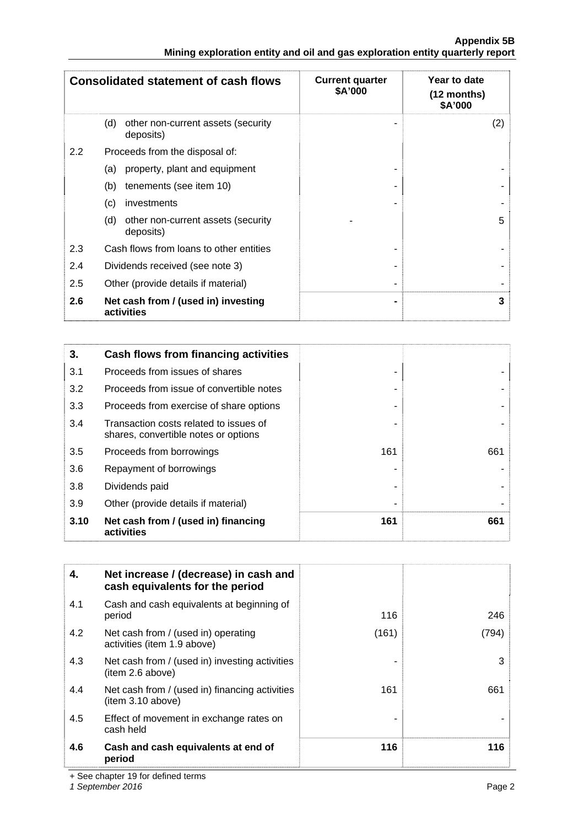|                                                                               | <b>Appendix 5B</b> |
|-------------------------------------------------------------------------------|--------------------|
| Mining exploration entity and oil and gas exploration entity quarterly report |                    |

|                  | <b>Consolidated statement of cash flows</b>            | <b>Current quarter</b><br>\$A'000 | Year to date<br>$(12$ months)<br>\$A'000 |
|------------------|--------------------------------------------------------|-----------------------------------|------------------------------------------|
|                  | (d)<br>other non-current assets (security<br>deposits) |                                   | (2)                                      |
| $2.2\phantom{0}$ | Proceeds from the disposal of:                         |                                   |                                          |
|                  | property, plant and equipment<br>(a)                   |                                   |                                          |
|                  | tenements (see item 10)<br>(b)                         |                                   |                                          |
|                  | (c)<br>investments                                     |                                   |                                          |
|                  | (d)<br>other non-current assets (security<br>deposits) |                                   | 5                                        |
| 2.3              | Cash flows from loans to other entities                |                                   |                                          |
| 2.4              | Dividends received (see note 3)                        |                                   |                                          |
| 2.5              | Other (provide details if material)                    |                                   |                                          |
| 2.6              | Net cash from / (used in) investing<br>activities      |                                   | 3                                        |

| 3.   | Cash flows from financing activities                                           |     |     |
|------|--------------------------------------------------------------------------------|-----|-----|
| 3.1  | Proceeds from issues of shares                                                 |     |     |
| 3.2  | Proceeds from issue of convertible notes                                       |     |     |
| 3.3  | Proceeds from exercise of share options                                        |     |     |
| 3.4  | Transaction costs related to issues of<br>shares, convertible notes or options |     |     |
| 3.5  | Proceeds from borrowings                                                       | 161 | 661 |
| 3.6  | Repayment of borrowings                                                        |     |     |
| 3.8  | Dividends paid                                                                 |     |     |
| 3.9  | Other (provide details if material)                                            |     |     |
| 3.10 | Net cash from / (used in) financing<br>activities                              | 161 | 661 |

| 4.  | Net increase / (decrease) in cash and<br>cash equivalents for the period |       |       |
|-----|--------------------------------------------------------------------------|-------|-------|
| 4.1 | Cash and cash equivalents at beginning of<br>period                      | 116   | 246   |
| 4.2 | Net cash from / (used in) operating<br>activities (item 1.9 above)       | (161) | (794) |
| 4.3 | Net cash from / (used in) investing activities<br>(item 2.6 above)       |       | 3     |
| 4.4 | Net cash from / (used in) financing activities<br>(item 3.10 above)      | 161   | 661   |
| 4.5 | Effect of movement in exchange rates on<br>cash held                     |       |       |
| 4.6 | Cash and cash equivalents at end of<br>period                            | 116   | 116   |

+ See chapter 19 for defined terms

*1 September 2016* Page 2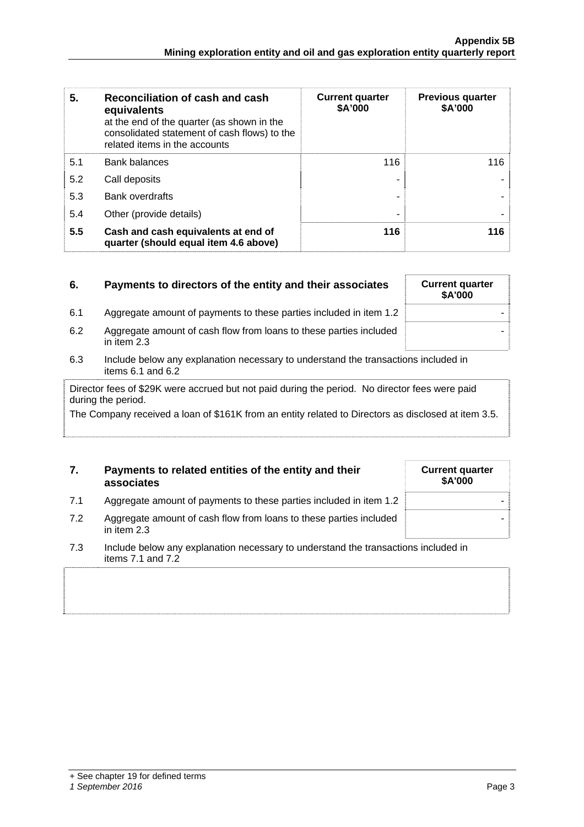| 5.  | Reconciliation of cash and cash<br>equivalents<br>at the end of the quarter (as shown in the<br>consolidated statement of cash flows) to the<br>related items in the accounts | <b>Current quarter</b><br>\$A'000 | <b>Previous quarter</b><br>\$A'000 |
|-----|-------------------------------------------------------------------------------------------------------------------------------------------------------------------------------|-----------------------------------|------------------------------------|
| 5.1 | <b>Bank balances</b>                                                                                                                                                          | 116                               | 116                                |
| 5.2 | Call deposits                                                                                                                                                                 |                                   |                                    |
| 5.3 | <b>Bank overdrafts</b>                                                                                                                                                        |                                   |                                    |
| 5.4 | Other (provide details)                                                                                                                                                       |                                   |                                    |
| 5.5 | Cash and cash equivalents at end of<br>quarter (should equal item 4.6 above)                                                                                                  | 116                               | 116                                |

| 6.  | Payments to directors of the entity and their associates                           | <b>Current quarter</b><br>\$A'000 |  |
|-----|------------------------------------------------------------------------------------|-----------------------------------|--|
| 6.1 | Aggregate amount of payments to these parties included in item 1.2                 |                                   |  |
| 6.2 | Aggregate amount of cash flow from loans to these parties included<br>in item 2.3  |                                   |  |
| 6.3 | Include below any explanation necessary to understand the transactions included in |                                   |  |

items 6.1 and 6.2

Director fees of \$29K were accrued but not paid during the period. No director fees were paid during the period.

The Company received a loan of \$161K from an entity related to Directors as disclosed at item 3.5.

| 7. | Payments to related entities of the entity and their |
|----|------------------------------------------------------|
|    | associates                                           |

7.1 Aggregate amount of payments to these parties included in item 1.2 7.2 Aggregate amount of cash flow from loans to these parties included

| <b>Current quarter</b><br>\$A'000 |  |
|-----------------------------------|--|
|                                   |  |
|                                   |  |

-

7.3 Include below any explanation necessary to understand the transactions included in items 7.1 and 7.2

in item 2.3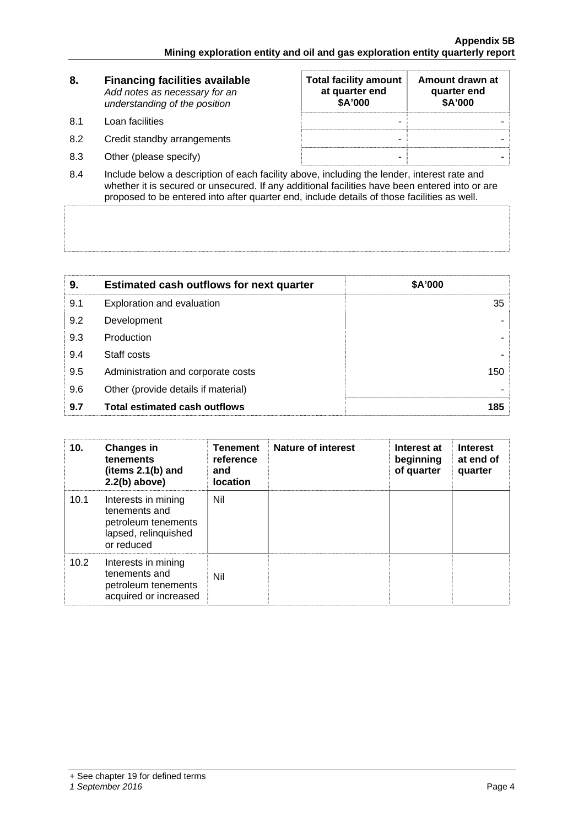| 8.   | <b>Financing facilities available</b><br>Add notes as necessary for an<br>understanding of the position | <b>Total facility amount</b><br>at quarter end<br>\$A'000 | Amount drawn at<br>quarter end<br>\$A'000 |
|------|---------------------------------------------------------------------------------------------------------|-----------------------------------------------------------|-------------------------------------------|
| -8.1 | Loan facilities                                                                                         | ۰                                                         |                                           |
| 8.2  | Credit standby arrangements                                                                             | -                                                         |                                           |
| 8.3  | Other (please specify)                                                                                  | -                                                         |                                           |

8.4 Include below a description of each facility above, including the lender, interest rate and whether it is secured or unsecured. If any additional facilities have been entered into or are proposed to be entered into after quarter end, include details of those facilities as well.

| 9.  | <b>Estimated cash outflows for next quarter</b> | \$A'000         |
|-----|-------------------------------------------------|-----------------|
| 9.1 | Exploration and evaluation                      | 35 <sup>5</sup> |
| 9.2 | Development                                     |                 |
| 9.3 | Production                                      |                 |
| 9.4 | Staff costs                                     |                 |
| 9.5 | Administration and corporate costs              | 150             |
| 9.6 | Other (provide details if material)             |                 |
| 9.7 | <b>Total estimated cash outflows</b>            | 185             |

| 10.  | <b>Changes in</b><br>tenements<br>(items 2.1(b) and<br>$2.2(b)$ above)                            | <b>Tenement</b><br>reference<br>and<br>location | Nature of interest | Interest at<br>beginning<br>of quarter | <b>Interest</b><br>at end of<br>quarter |
|------|---------------------------------------------------------------------------------------------------|-------------------------------------------------|--------------------|----------------------------------------|-----------------------------------------|
| 10.1 | Interests in mining<br>tenements and<br>petroleum tenements<br>lapsed, relinquished<br>or reduced | Nil                                             |                    |                                        |                                         |
| 10.2 | Interests in mining<br>tenements and<br>petroleum tenements<br>acquired or increased              | Nil                                             |                    |                                        |                                         |